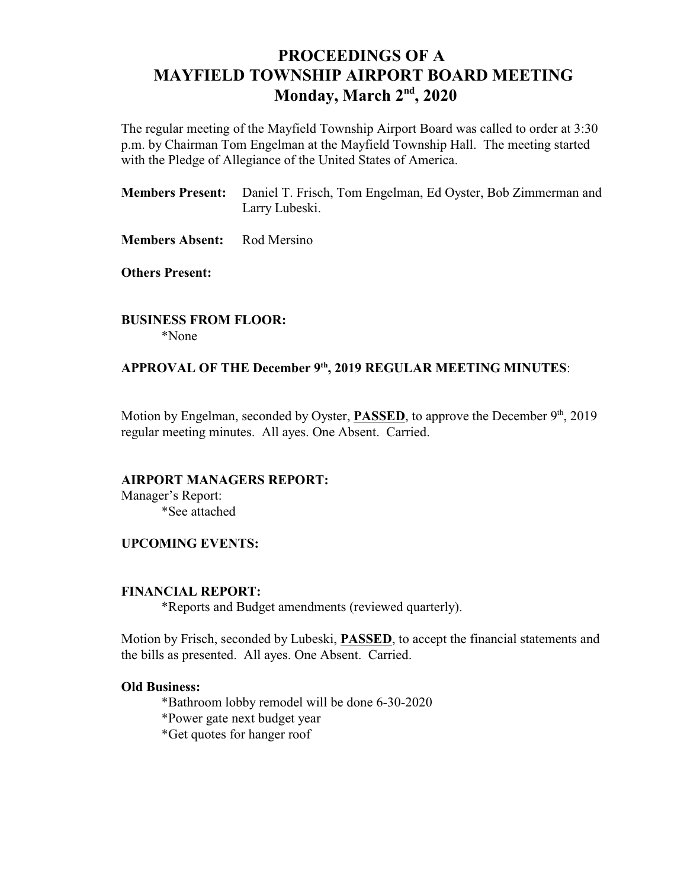# **PROCEEDINGS OF A MAYFIELD TOWNSHIP AIRPORT BOARD MEETING Monday, March 2<sup>nd</sup>, 2020**

The regular meeting of the Mayfield Township Airport Board was called to order at 3:30 p.m. by Chairman Tom Engelman at the Mayfield Township Hall. The meeting started with the Pledge of Allegiance of the United States of America.

**Members Present:** Daniel T. Frisch, Tom Engelman, Ed Oyster, Bob Zimmerman and Larry Lubeski.

**Members Absent:** Rod Mersino

**Others Present:**

**BUSINESS FROM FLOOR:** \*None

### APPROVAL OF THE December 9<sup>th</sup>, 2019 REGULAR MEETING MINUTES:

Motion by Engelman, seconded by Oyster, **PASSED**, to approve the December 9<sup>th</sup>, 2019 regular meeting minutes. All ayes. One Absent. Carried.

#### **AIRPORT MANAGERS REPORT:**

Manager's Report: \*See attached

#### **UPCOMING EVENTS:**

#### **FINANCIAL REPORT:**

\*Reports and Budget amendments (reviewed quarterly).

Motion by Frisch, seconded by Lubeski, **PASSED**, to accept the financial statements and the bills as presented. All ayes. One Absent. Carried.

#### **Old Business:**

\*Bathroom lobby remodel will be done 6-30-2020

\*Power gate next budget year

\*Get quotes for hanger roof